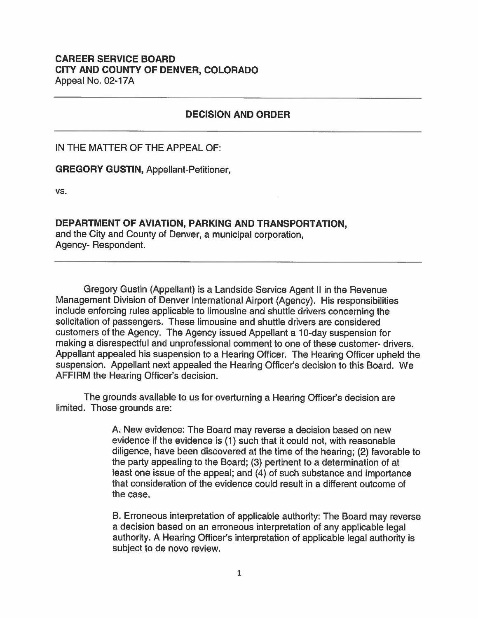## **CAREER SERVICE BOARD CITY AND COUNTY OF DENVER, COLORADO**  Appeal No. 02-17A

## **DECISION AND ORDER**

IN THE MATTER OF THE APPEAL OF:

**GREGORY GUSTIN,** Appellant-Petitioner,

vs.

**DEPARTMENT OF AVIATION, PARKING AND TRANSPORTATION,**  and the City and County of Denver, a municipal corporation, Agency- Respondent.

Gregory Gustin (Appellant) is a Landside Service Agent II in the Revenue Management Division of Denver International Airport (Agency). His responsibilities include enforcing rules applicable to limousine and shuttle drivers concerning the solicitation of passengers. These limousine and shuttle drivers are considered customers of the Agency. The Agency issued Appellant a 10-day suspension for making a disrespectful and unprofessional comment to one of these customer- drivers. Appellant appealed his suspension to a Hearing Officer. The Hearing Officer upheld the suspension. Appellant next appealed the Hearing Officer's decision to this Board. We AFFIRM the Hearing Officer's decision.

The grounds available to us for overturning a Hearing Officer's decision are limited. Those grounds are:

> A. New evidence: The Board may reverse a decision based on new evidence if the evidence is (1) such that it could not, with reasonable diligence, have been discovered at the time of the hearing; (2) favorable to the party appealing to the Board; (3) pertinent to a determination of at least one issue of the appeal; and (4) of such substance and importance that consideration of the evidence could result in a different outcome of the case.

> B. Erroneous interpretation of applicable authority: The Board may reverse a decision based on an erroneous interpretation of any applicable legal authority. A Hearing Officer's interpretation of applicable legal authority is subject to de nova review.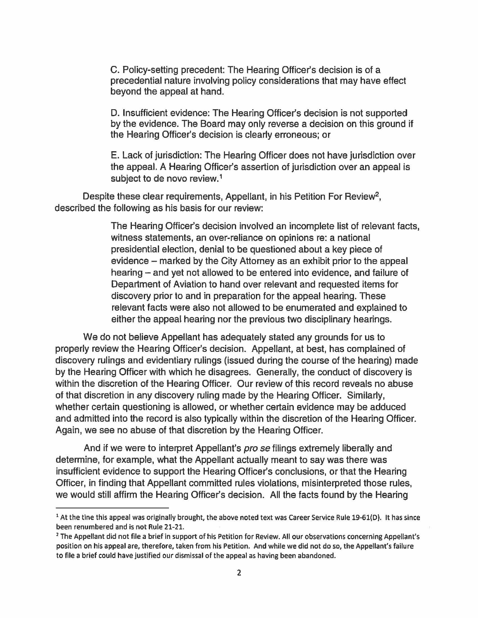C. Policy-setting precedent: The Hearing Officer's decision is of a precedential nature involving policy considerations that may have effect beyond the appeal at hand.

D. Insufficient evidence: The Hearing Officer's decision is not supported by the evidence. The Board may only reverse a decision on this ground if the Hearing Officer's decision is clearly erroneous; or

E. Lack of jurisdiction: The Hearing Officer does not have jurisdiction over the appeal. A Hearing Officer's assertion of jurisdiction over an appeal is subject to de novo review.<sup>1</sup>

Despite these clear requirements, Appellant, in his Petition For Review<sup>2</sup>, described the following as his basis for our review:

> The Hearing Officer's decision involved an incomplete list of relevant facts, witness statements, an over-reliance on opinions re: a national presidential election, denial to be questioned about a key piece of evidence - marked by the City Attorney as an exhibit prior to the appeal hearing - and yet not allowed to be entered into evidence, and failure of Department of Aviation to hand over relevant and requested items for discovery prior to and in preparation for the appeal hearing. These relevant facts were also not allowed to be enumerated and explained to either the appeal hearing nor the previous two disciplinary hearings.

We do not believe Appellant has adequately stated any grounds for us to properly review the Hearing Officer's decision. Appellant, at best, has complained of discovery rulings and evidentiary rulings (issued during the course of the hearing) made by the Hearing Officer with which he disagrees. Generally, the conduct of discovery is within the discretion of the Hearing Officer. Our review of this record reveals no abuse of that discretion in any discovery ruling made by the Hearing Officer. Similarly, whether certain questioning is allowed, or whether certain evidence may be adduced and admitted into the record is also typically within the discretion of the Hearing Officer. Again, we see no abuse of that discretion by the Hearing Officer.

And if we were to interpret Appellant's pro se filings extremely liberally and determine, for example, what the Appellant actually meant to say was there was insufficient evidence to support the Hearing Officer's conclusions, or that the Hearing Officer, in finding that Appellant committed rules violations, misinterpreted those rules, we would still affirm the Hearing Officer's decision. All the facts found by the Hearing

<sup>1</sup>At the tine this appeal was originally brought, the above noted text was Career Service Rule 19·61(0). It has since been renumbered and is not Rule 21-21.

<sup>&</sup>lt;sup>2</sup> The Appellant did not file a brief in support of his Petition for Review. All our observations concerning Appellant's position on his appeal are, therefore, taken from his Petition. And while we did not do so, the Appellant's failure to file a brief could have justified our dismissal of the appeal as having been abandoned.